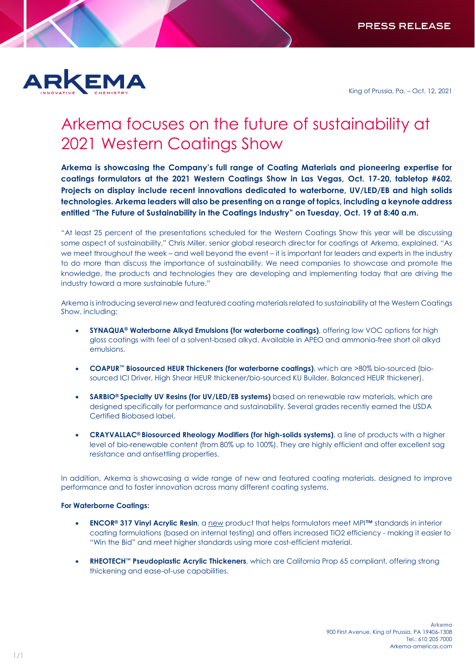

King of Prussia, Pa. – Oct. 12, 2021

## Arkema focuses on the future of sustainability at 2021 Western Coatings Show

**Arkema is showcasing the Company's full range of Coating Materials and pioneering expertise for coatings formulators at the 2021 Western Coatings Show in Las Vegas, Oct. 17-20, tabletop #602. Projects on display include recent innovations dedicated to waterborne, UV/LED/EB and high solids technologies. Arkema leaders will also be presenting on a range of topics, including a keynote address entitled "The Future of Sustainability in the Coatings Industry" on Tuesday, Oct. 19 at 8:40 a.m.**

"At least 25 percent of the presentations scheduled for the Western Coatings Show this year will be discussing some aspect of sustainability," Chris Miller, senior global research director for coatings at Arkema, explained. "As we meet throughout the week – and well beyond the event – it is important for leaders and experts in the industry to do more than discuss the importance of sustainability. We need companies to showcase and promote the knowledge, the products and technologies they are developing and implementing today that are driving the industry toward a more sustainable future."

Arkema is introducing several new and featured coating materials related to sustainability at the Western Coatings Show, including:

- **SYNAQUA® Waterborne Alkyd Emulsions (for waterborne coatings)**, offering low VOC options for high gloss coatings with feel of a solvent-based alkyd. Available in APEO and ammonia-free short oil alkyd emulsions.
- **COAPUR™ Biosourced HEUR Thickeners (for waterborne coatings)**, which are >80% bio-sourced (biosourced ICI Driver, High Shear HEUR thickener/bio-sourced KU Builder, Balanced HEUR thickener).
- **SARBIO® Specialty UV Resins (for UV/LED/EB systems)** based on renewable raw materials, which are designed specifically for performance and sustainability. Several grades recently earned the USDA Certified Biobased label.
- **CRAYVALLAC® Biosourced Rheology Modifiers (for high-solids systems)**, a line of products with a higher level of bio-renewable content (from 80% up to 100%). They are highly efficient and offer excellent sag resistance and antisettling properties.

In addition, Arkema is showcasing a wide range of new and featured coating materials, designed to improve performance and to foster innovation across many different coating systems.

## **For Waterborne Coatings:**

- **ENCOR® 317 Vinyl Acrylic Resin**, a new product that helps formulators meet MPI**™** standards in interior coating formulations (based on internal testing) and offers increased TiO2 efficiency - making it easier to "Win the Bid" and meet higher standards using more cost-efficient material.
- **RHEOTECH™ Pseudoplastic Acrylic Thickeners**, which are California Prop 65 compliant, offering strong thickening and ease-of-use capabilities.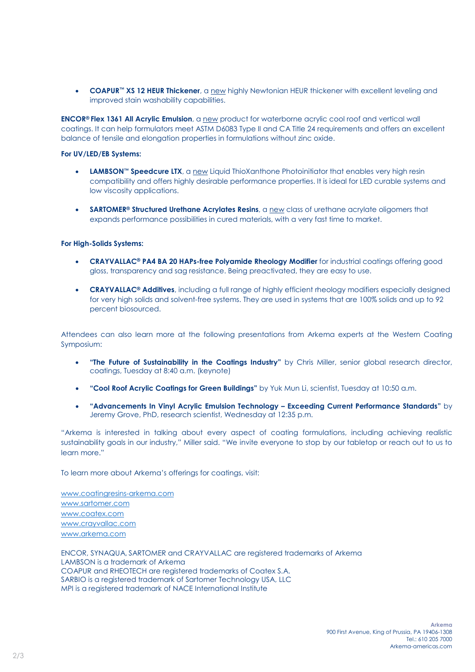• **COAPUR™ XS 12 HEUR Thickener**, a new highly Newtonian HEUR thickener with excellent leveling and improved stain washability capabilities.

**ENCOR® Flex 1361 All Acrylic Emulsion**, a new product for waterborne acrylic cool roof and vertical wall coatings. It can help formulators meet ASTM D6083 Type II and CA Title 24 requirements and offers an excellent balance of tensile and elongation properties in formulations without zinc oxide.

## **For UV/LED/EB Systems:**

- **LAMBSON™ Speedcure LTX**, a new Liquid ThioXanthone Photoinitiator that enables very high resin compatibility and offers highly desirable performance properties. It is ideal for LED curable systems and low viscosity applications.
- **SARTOMER® Structured Urethane Acrylates Resins, a new class of urethane acrylate oligomers that** expands performance possibilities in cured materials, with a very fast time to market.

## **For High-Solids Systems:**

- **CRAYVALLAC® PA4 BA 20 HAPs-free Polyamide Rheology Modifier** for industrial coatings offering good gloss, transparency and sag resistance. Being preactivated, they are easy to use.
- **CRAYVALLAC® Additives**, including a full range of highly efficient rheology modifiers especially designed for very high solids and solvent-free systems. They are used in systems that are 100% solids and up to 92 percent biosourced.

Attendees can also learn more at the following presentations from Arkema experts at the Western Coating Symposium:

- **"The Future of Sustainability in the Coatings Industry"** by Chris Miller, senior global research director, coatings, Tuesday at 8:40 a.m. (keynote)
- **"Cool Roof Acrylic Coatings for Green Buildings"** by Yuk Mun Li, scientist, Tuesday at 10:50 a.m.
- **"Advancements In Vinyl Acrylic Emulsion Technology – Exceeding Current Performance Standards"** by Jeremy Grove, PhD, research scientist, Wednesday at 12:35 p.m.

"Arkema is interested in talking about every aspect of coating formulations, including achieving realistic sustainability goals in our industry," Miller said. "We invite everyone to stop by our tabletop or reach out to us to learn more."

To learn more about Arkema's offerings for coatings, visit:

[www.coatingresins-arkema.com](http://www.coatingresins-arkema.com/) [www.sartomer.com](http://www.sartomer.com/) [www.coatex.com](http://www.coatex.com/) www.crayvallac.com [www.arkema.com](http://www.arkema.com/)

ENCOR, SYNAQUA, SARTOMER and CRAYVALLAC are registered trademarks of Arkema LAMBSON is a trademark of Arkema COAPUR and RHEOTECH are registered trademarks of Coatex S.A. SARBIO is a registered trademark of Sartomer Technology USA, LLC MPI is a registered trademark of NACE International Institute